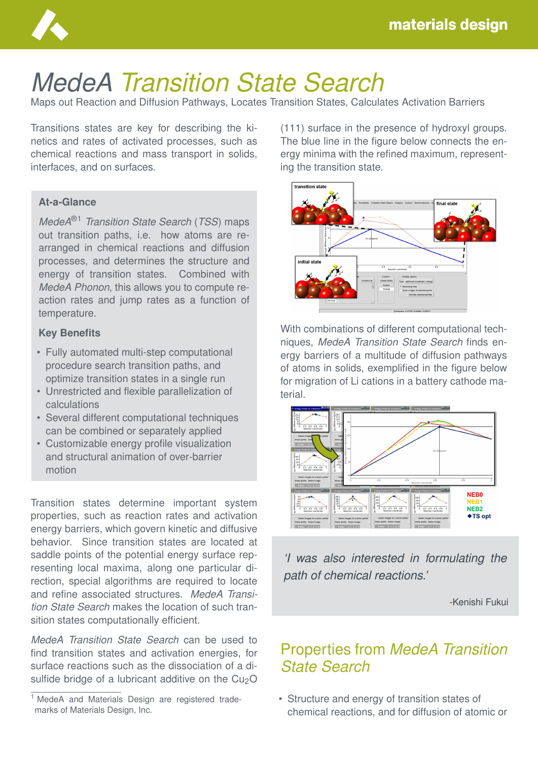

# *MedeA Transition State Search*

Maps out Reaction and Diffusion Pathways, Locates Transition States, Calculates Activation Barriers

Transitions states are key for describing the kinetics and rates of activated processes, such as chemical reactions and mass transport in solids, interfaces, and on surfaces.

#### **At-a-Glance**

*MedeA*®1 *Transition State Search* (*TSS*) maps out transition paths, i.e. how atoms are rearranged in chemical reactions and diffusion processes, and determines the structure and energy of transition states. Combined with *MedeA Phonon*, this allows you to compute reaction rates and jump rates as a function of temperature.

#### **Key Benefits**

- Fully automated multi-step computational procedure search transition paths, and optimize transition states in a single run
- Unrestricted and flexible parallelization of calculations
- Several different computational techniques can be combined or separately applied
- Customizable energy profile visualization and structural animation of over-barrier motion

Transition states determine important system properties, such as reaction rates and activation energy barriers, which govern kinetic and diffusive behavior. Since transition states are located at saddle points of the potential energy surface representing local maxima, along one particular direction, special algorithms are required to locate and refine associated structures. *MedeA Transition State Search* makes the location of such transition states computationally efficient.

*MedeA Transition State Search* can be used to find transition states and activation energies, for surface reactions such as the dissociation of a disulfide bridge of a lubricant additive on the  $Cu<sub>2</sub>O$ 

(111) surface in the presence of hydroxyl groups. The blue line in the figure below connects the energy minima with the refined maximum, representing the transition state.



With combinations of different computational techniques, *MedeA Transition State Search* finds energy barriers of a multitude of diffusion pathways of atoms in solids, exemplified in the figure below for migration of Li cations in a battery cathode material.



*'I was also interested in formulating the path of chemical reactions.'*

-Kenishi Fukui

## Properties from *MedeA Transition State Search*

• Structure and energy of transition states of chemical reactions, and for diffusion of atomic or

<sup>&</sup>lt;sup>1</sup> MedeA and Materials Design are registered trademarks of Materials Design, Inc.